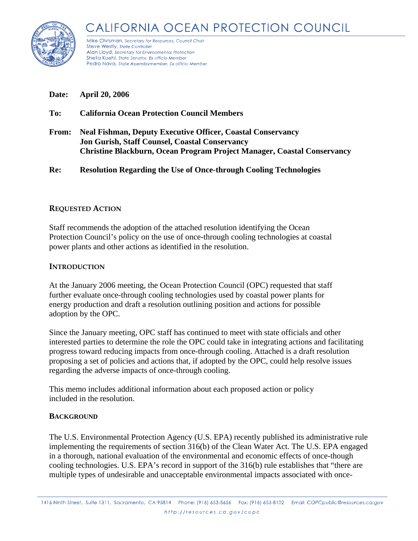



Mike Chrisman, Secretary for Resources, Council Chair Steve Westly, State Controller Alan Lloyd, Secretary for Environmental Protection Sheila Kuehl, State Senator, Ex officio Member Pedro Nava, State Assemblymember, Ex officio Member

**Date: April 20, 2006** 

- **To: California Ocean Protection Council Members**
- **From: Neal Fishman, Deputy Executive Officer, Coastal Conservancy Jon Gurish, Staff Counsel, Coastal Conservancy Christine Blackburn, Ocean Program Project Manager, Coastal Conservancy**

**Re: Resolution Regarding the Use of Once-through Cooling Technologies** 

### **REQUESTED ACTION**

Staff recommends the adoption of the attached resolution identifying the Ocean Protection Council's policy on the use of once-through cooling technologies at coastal power plants and other actions as identified in the resolution.

### **INTRODUCTION**

At the January 2006 meeting, the Ocean Protection Council (OPC) requested that staff further evaluate once-through cooling technologies used by coastal power plants for energy production and draft a resolution outlining position and actions for possible adoption by the OPC.

Since the January meeting, OPC staff has continued to meet with state officials and other interested parties to determine the role the OPC could take in integrating actions and facilitating progress toward reducing impacts from once-through cooling. Attached is a draft resolution proposing a set of policies and actions that, if adopted by the OPC, could help resolve issues regarding the adverse impacts of once-through cooling.

This memo includes additional information about each proposed action or policy included in the resolution.

# **BACKGROUND**

The U.S. Environmental Protection Agency (U.S. EPA) recently published its administrative rule implementing the requirements of section 316(b) of the Clean Water Act. The U.S. EPA engaged in a thorough, national evaluation of the environmental and economic effects of once-though cooling technologies. U.S. EPA's record in support of the 316(b) rule establishes that "there are multiple types of undesirable and unacceptable environmental impacts associated with once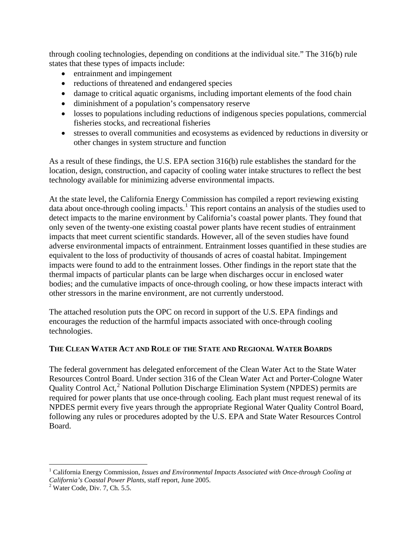through cooling technologies, depending on conditions at the individual site." The 316(b) rule states that these types of impacts include:

- entrainment and impingement
- reductions of threatened and endangered species
- damage to critical aquatic organisms, including important elements of the food chain
- diminishment of a population's compensatory reserve
- losses to populations including reductions of indigenous species populations, commercial fisheries stocks, and recreational fisheries
- stresses to overall communities and ecosystems as evidenced by reductions in diversity or other changes in system structure and function

As a result of these findings, the U.S. EPA section 316(b) rule establishes the standard for the location, design, construction, and capacity of cooling water intake structures to reflect the best technology available for minimizing adverse environmental impacts.

At the state level, the California Energy Commission has compiled a report reviewing existing data about once-through cooling impacts.<sup>[1](#page-1-0)</sup> This report contains an analysis of the studies used to detect impacts to the marine environment by California's coastal power plants. They found that only seven of the twenty-one existing coastal power plants have recent studies of entrainment impacts that meet current scientific standards. However, all of the seven studies have found adverse environmental impacts of entrainment. Entrainment losses quantified in these studies are equivalent to the loss of productivity of thousands of acres of coastal habitat. Impingement impacts were found to add to the entrainment losses. Other findings in the report state that the thermal impacts of particular plants can be large when discharges occur in enclosed water bodies; and the cumulative impacts of once-through cooling, or how these impacts interact with other stressors in the marine environment, are not currently understood.

The attached resolution puts the OPC on record in support of the U.S. EPA findings and encourages the reduction of the harmful impacts associated with once-through cooling technologies.

# **THE CLEAN WATER ACT AND ROLE OF THE STATE AND REGIONAL WATER BOARDS**

The federal government has delegated enforcement of the Clean Water Act to the State Water Resources Control Board. Under section 316 of the Clean Water Act and Porter-Cologne Water Quality Control Act,<sup>[2](#page-1-1)</sup> National Pollution Discharge Elimination System (NPDES) permits are required for power plants that use once-through cooling. Each plant must request renewal of its NPDES permit every five years through the appropriate Regional Water Quality Control Board, following any rules or procedures adopted by the U.S. EPA and State Water Resources Control Board.

 $\overline{a}$ 

<span id="page-1-0"></span><sup>&</sup>lt;sup>1</sup> California Energy Commission, *Issues and Environmental Impacts Associated with Once-through Cooling at California's Coastal Power Plants*, staff report, June 2005. 2

<span id="page-1-1"></span> $2$  Water Code, Div. 7, Ch. 5.5.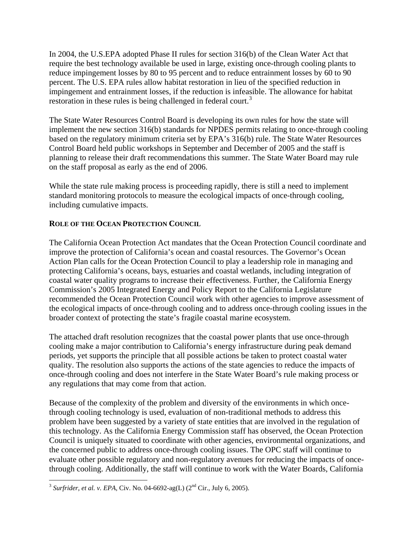In 2004, the U.S.EPA adopted Phase II rules for section 316(b) of the Clean Water Act that require the best technology available be used in large, existing once-through cooling plants to reduce impingement losses by 80 to 95 percent and to reduce entrainment losses by 60 to 90 percent. The U.S. EPA rules allow habitat restoration in lieu of the specified reduction in impingement and entrainment losses, if the reduction is infeasible. The allowance for habitat restoration in these rules is being challenged in federal court.<sup>[3](#page-2-0)</sup>

The State Water Resources Control Board is developing its own rules for how the state will implement the new section 316(b) standards for NPDES permits relating to once-through cooling based on the regulatory minimum criteria set by EPA's 316(b) rule. The State Water Resources Control Board held public workshops in September and December of 2005 and the staff is planning to release their draft recommendations this summer. The State Water Board may rule on the staff proposal as early as the end of 2006.

While the state rule making process is proceeding rapidly, there is still a need to implement standard monitoring protocols to measure the ecological impacts of once-through cooling, including cumulative impacts.

# **ROLE OF THE OCEAN PROTECTION COUNCIL**

The California Ocean Protection Act mandates that the Ocean Protection Council coordinate and improve the protection of California's ocean and coastal resources. The Governor's Ocean Action Plan calls for the Ocean Protection Council to play a leadership role in managing and protecting California's oceans, bays, estuaries and coastal wetlands, including integration of coastal water quality programs to increase their effectiveness. Further, the California Energy Commission's 2005 Integrated Energy and Policy Report to the California Legislature recommended the Ocean Protection Council work with other agencies to improve assessment of the ecological impacts of once-through cooling and to address once-through cooling issues in the broader context of protecting the state's fragile coastal marine ecosystem.

The attached draft resolution recognizes that the coastal power plants that use once-through cooling make a major contribution to California's energy infrastructure during peak demand periods, yet supports the principle that all possible actions be taken to protect coastal water quality. The resolution also supports the actions of the state agencies to reduce the impacts of once-through cooling and does not interfere in the State Water Board's rule making process or any regulations that may come from that action.

Because of the complexity of the problem and diversity of the environments in which oncethrough cooling technology is used, evaluation of non-traditional methods to address this problem have been suggested by a variety of state entities that are involved in the regulation of this technology. As the California Energy Commission staff has observed, the Ocean Protection Council is uniquely situated to coordinate with other agencies, environmental organizations, and the concerned public to address once-through cooling issues. The OPC staff will continue to evaluate other possible regulatory and non-regulatory avenues for reducing the impacts of oncethrough cooling. Additionally, the staff will continue to work with the Water Boards, California

<span id="page-2-0"></span> $\overline{a}$ <sup>3</sup> Surfrider, et al. v. EPA, Civ. No. 04-6692-ag(L) (2<sup>nd</sup> Cir., July 6, 2005).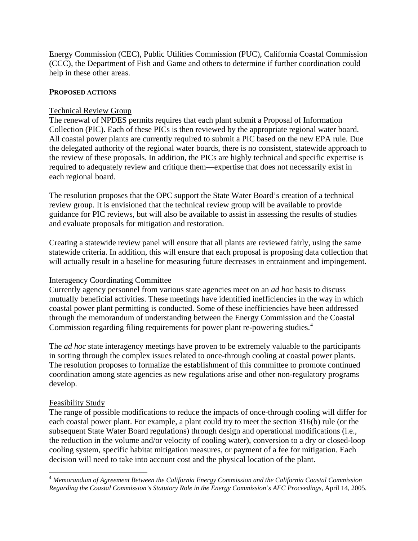Energy Commission (CEC), Public Utilities Commission (PUC), California Coastal Commission (CCC), the Department of Fish and Game and others to determine if further coordination could help in these other areas.

#### **PROPOSED ACTIONS**

### Technical Review Group

The renewal of NPDES permits requires that each plant submit a Proposal of Information Collection (PIC). Each of these PICs is then reviewed by the appropriate regional water board. All coastal power plants are currently required to submit a PIC based on the new EPA rule. Due the delegated authority of the regional water boards, there is no consistent, statewide approach to the review of these proposals. In addition, the PICs are highly technical and specific expertise is required to adequately review and critique them—expertise that does not necessarily exist in each regional board.

The resolution proposes that the OPC support the State Water Board's creation of a technical review group. It is envisioned that the technical review group will be available to provide guidance for PIC reviews, but will also be available to assist in assessing the results of studies and evaluate proposals for mitigation and restoration.

Creating a statewide review panel will ensure that all plants are reviewed fairly, using the same statewide criteria. In addition, this will ensure that each proposal is proposing data collection that will actually result in a baseline for measuring future decreases in entrainment and impingement.

# Interagency Coordinating Committee

Currently agency personnel from various state agencies meet on an *ad hoc* basis to discuss mutually beneficial activities. These meetings have identified inefficiencies in the way in which coastal power plant permitting is conducted. Some of these inefficiencies have been addressed through the memorandum of understanding between the Energy Commission and the Coastal Commission regarding filing requirements for power plant re-powering studies.[4](#page-3-0)

The *ad hoc* state interagency meetings have proven to be extremely valuable to the participants in sorting through the complex issues related to once-through cooling at coastal power plants. The resolution proposes to formalize the establishment of this committee to promote continued coordination among state agencies as new regulations arise and other non-regulatory programs develop.

# Feasibility Study

The range of possible modifications to reduce the impacts of once-through cooling will differ for each coastal power plant. For example, a plant could try to meet the section 316(b) rule (or the subsequent State Water Board regulations) through design and operational modifications (i.e., the reduction in the volume and/or velocity of cooling water), conversion to a dry or closed-loop cooling system, specific habitat mitigation measures, or payment of a fee for mitigation. Each decision will need to take into account cost and the physical location of the plant.

<span id="page-3-0"></span> $\overline{a}$ <sup>4</sup> *Memorandum of Agreement Between the California Energy Commission and the California Coastal Commission Regarding the Coastal Commission's Statutory Role in the Energy Commission's AFC Proceedings*, April 14, 2005.